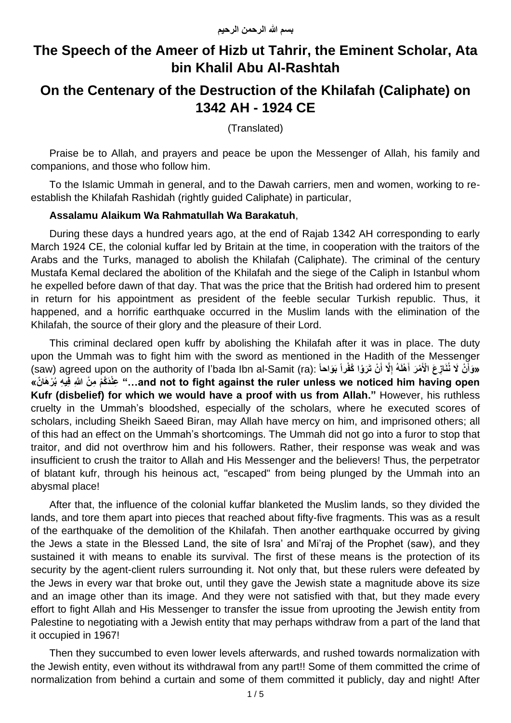# **The Speech of the Ameer of Hizb ut Tahrir, the Eminent Scholar, Ata bin Khalil Abu Al-Rashtah**

## **On the Centenary of the Destruction of the Khilafah (Caliphate) on 1342 AH - 1924 CE**

(Translated)

Praise be to Allah, and prayers and peace be upon the Messenger of Allah, his family and companions, and those who follow him.

To the Islamic Ummah in general, and to the Dawah carriers, men and women, working to reestablish the Khilafah Rashidah (rightly guided Caliphate) in particular,

### **Assalamu Alaikum Wa Rahmatullah Wa Barakatuh**,

During these days a hundred years ago, at the end of Rajab 1342 AH corresponding to early March 1924 CE, the colonial kuffar led by Britain at the time, in cooperation with the traitors of the Arabs and the Turks, managed to abolish the Khilafah (Caliphate). The criminal of the century Mustafa Kemal declared the abolition of the Khilafah and the siege of the Caliph in Istanbul whom he expelled before dawn of that day. That was the price that the British had ordered him to present in return for his appointment as president of the feeble secular Turkish republic. Thus, it happened, and a horrific earthquake occurred in the Muslim lands with the elimination of the Khilafah, the source of their glory and the pleasure of their Lord.

This criminal declared open kuffr by abolishing the Khilafah after it was in place. The duty upon the Ummah was to fight him with the sword as mentioned in the Hadith of the Messenger (saw) agreed upon on the authority of l'bada Ibn al-Samit (ra): لَا نُنَازِعَ الْأَمْرَ أَهْلَهُ إِلَّا أَنْ تَرَوْا كُفْراً بَوَاحاً) **َ ِ َ َ open having him noticed we unless ruler the against fight to not and "…ِع « ْن َدُكْم ِم ْن اَِّللا فِي ِه بُ ْر َها ن Kufr (disbelief) for which we would have a proof with us from Allah."** However, his ruthless cruelty in the Ummah's bloodshed, especially of the scholars, where he executed scores of scholars, including Sheikh Saeed Biran, may Allah have mercy on him, and imprisoned others; all of this had an effect on the Ummah's shortcomings. The Ummah did not go into a furor to stop that traitor, and did not overthrow him and his followers. Rather, their response was weak and was insufficient to crush the traitor to Allah and His Messenger and the believers! Thus, the perpetrator of blatant kufr, through his heinous act, "escaped" from being plunged by the Ummah into an abysmal place!

After that, the influence of the colonial kuffar blanketed the Muslim lands, so they divided the lands, and tore them apart into pieces that reached about fifty-five fragments. This was as a result of the earthquake of the demolition of the Khilafah. Then another earthquake occurred by giving the Jews a state in the Blessed Land, the site of Isra' and Mi'raj of the Prophet (saw), and they sustained it with means to enable its survival. The first of these means is the protection of its security by the agent-client rulers surrounding it. Not only that, but these rulers were defeated by the Jews in every war that broke out, until they gave the Jewish state a magnitude above its size and an image other than its image. And they were not satisfied with that, but they made every effort to fight Allah and His Messenger to transfer the issue from uprooting the Jewish entity from Palestine to negotiating with a Jewish entity that may perhaps withdraw from a part of the land that it occupied in 1967!

Then they succumbed to even lower levels afterwards, and rushed towards normalization with the Jewish entity, even without its withdrawal from any part!! Some of them committed the crime of normalization from behind a curtain and some of them committed it publicly, day and night! After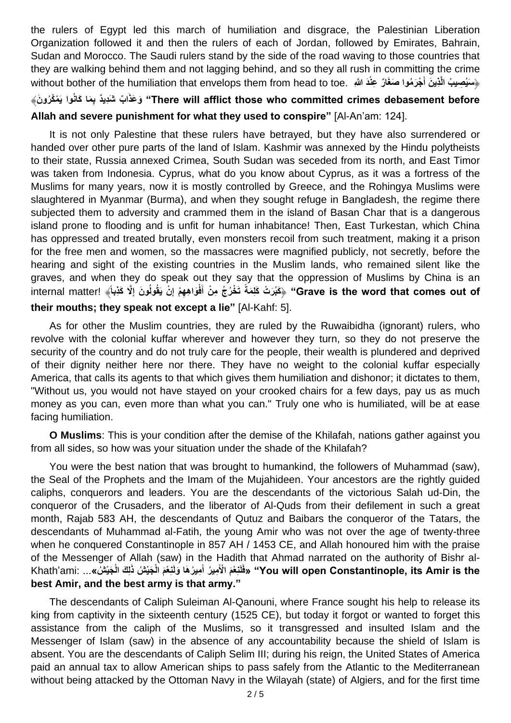the rulers of Egypt led this march of humiliation and disgrace, the Palestinian Liberation Organization followed it and then the rulers of each of Jordan, followed by Emirates, Bahrain, Sudan and Morocco. The Saudi rulers stand by the side of the road waving to those countries that they are walking behind them and not lagging behind, and so they all rush in committing the crime سِنُصِيبُ الَّذِينَ أَجْرَمُوا صَغَارٌ عِنْدَ اللَّهِ .without bother of the humiliation that envelops them from head to toe **َ**

## **ا ب before debasement crimes committed who those afflict will There "ب َكانُوا يَ ْم ُكُرو َن**﴾ **ِ َم َش ا َو ِدي د َعذَ Allah and severe punishment for what they used to conspire"** [Al-An'am: 124].

It is not only Palestine that these rulers have betrayed, but they have also surrendered or handed over other pure parts of the land of Islam. Kashmir was annexed by the Hindu polytheists to their state, Russia annexed Crimea, South Sudan was seceded from its north, and East Timor was taken from Indonesia. Cyprus, what do you know about Cyprus, as it was a fortress of the Muslims for many years, now it is mostly controlled by Greece, and the Rohingya Muslims were slaughtered in Myanmar (Burma), and when they sought refuge in Bangladesh, the regime there subjected them to adversity and crammed them in the island of Basan Char that is a dangerous island prone to flooding and is unfit for human inhabitance! Then, East Turkestan, which China has oppressed and treated brutally, even monsters recoil from such treatment, making it a prison for the free men and women, so the massacres were magnified publicly, not secretly, before the hearing and sight of the existing countries in the Muslim lands, who remained silent like the graves, and when they do speak out they say that the oppression of Muslims by China is an Grave is the word that comes out of" ﴿كَبُرَتْ كَلِمَةً تَخْرُجُ مِنْ أَفْوَاهِهِمْ إِنْ يَقُولُونَ إِلَّا كَذِباً﴾ !internal matter! **ِ ِ their mouths; they speak not except a lie"** [Al-Kahf: 5].

As for other the Muslim countries, they are ruled by the Ruwaibidha (ignorant) rulers, who revolve with the colonial kuffar wherever and however they turn, so they do not preserve the security of the country and do not truly care for the people, their wealth is plundered and deprived of their dignity neither here nor there. They have no weight to the colonial kuffar especially America, that calls its agents to that which gives them humiliation and dishonor; it dictates to them, "Without us, you would not have stayed on your crooked chairs for a few days, pay us as much money as you can, even more than what you can." Truly one who is humiliated, will be at ease facing humiliation.

**O Muslims**: This is your condition after the demise of the Khilafah, nations gather against you from all sides, so how was your situation under the shade of the Khilafah?

You were the best nation that was brought to humankind, the followers of Muhammad (saw), the Seal of the Prophets and the Imam of the Mujahideen. Your ancestors are the rightly guided caliphs, conquerors and leaders. You are the descendants of the victorious Salah ud-Din, the conqueror of the Crusaders, and the liberator of Al-Quds from their defilement in such a great month, Rajab 583 AH, the descendants of Qutuz and Baibars the conqueror of the Tatars, the descendants of Muhammad al-Fatih, the young Amir who was not over the age of twenty-three when he conquered Constantinople in 857 AH / 1453 CE, and Allah honoured him with the praise of the Messenger of Allah (saw) in the Hadith that Ahmad narrated on the authority of Bishr al-You will open Constantinople, its Amir is the" «فَلَنْعْمَ الْأَمِيرُ أَمِيرُهَا وَلَنْعْمَ الْجَيْشُ ذَلِكَ الْجَيْشُ»... :Khath'ami **َ best Amir, and the best army is that army."**

The descendants of Caliph Suleiman Al-Qanouni, where France sought his help to release its king from captivity in the sixteenth century (1525 CE), but today it forgot or wanted to forget this assistance from the caliph of the Muslims, so it transgressed and insulted Islam and the Messenger of Islam (saw) in the absence of any accountability because the shield of Islam is absent. You are the descendants of Caliph Selim III; during his reign, the United States of America paid an annual tax to allow American ships to pass safely from the Atlantic to the Mediterranean without being attacked by the Ottoman Navy in the Wilayah (state) of Algiers, and for the first time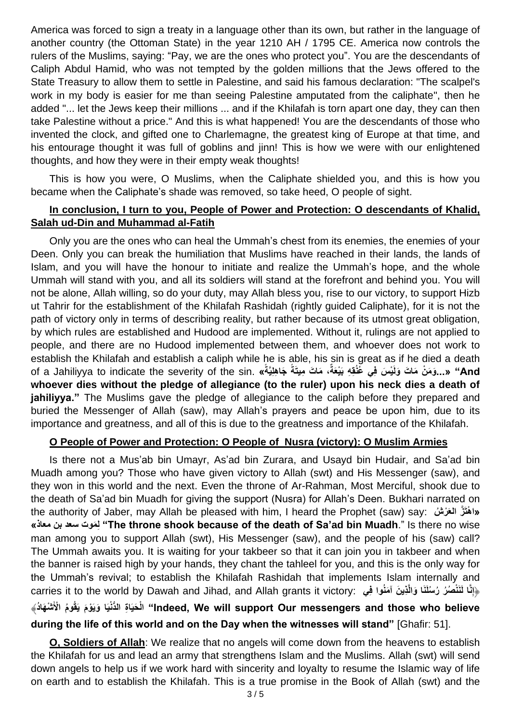America was forced to sign a treaty in a language other than its own, but rather in the language of another country (the Ottoman State) in the year 1210 AH / 1795 CE. America now controls the rulers of the Muslims, saying: "Pay, we are the ones who protect you". You are the descendants of Caliph Abdul Hamid, who was not tempted by the golden millions that the Jews offered to the State Treasury to allow them to settle in Palestine, and said his famous declaration: "The scalpel's work in my body is easier for me than seeing Palestine amputated from the caliphate", then he added "... let the Jews keep their millions ... and if the Khilafah is torn apart one day, they can then take Palestine without a price." And this is what happened! You are the descendants of those who invented the clock, and gifted one to Charlemagne, the greatest king of Europe at that time, and his entourage thought it was full of goblins and jinn! This is how we were with our enlightened thoughts, and how they were in their empty weak thoughts!

This is how you were, O Muslims, when the Caliphate shielded you, and this is how you became when the Caliphate's shade was removed, so take heed, O people of sight.

### **In conclusion, I turn to you, People of Power and Protection: O descendants of Khalid, Salah ud-Din and Muhammad al-Fatih**

Only you are the ones who can heal the Ummah's chest from its enemies, the enemies of your Deen. Only you can break the humiliation that Muslims have reached in their lands, the lands of Islam, and you will have the honour to initiate and realize the Ummah's hope, and the whole Ummah will stand with you, and all its soldiers will stand at the forefront and behind you. You will not be alone, Allah willing, so do your duty, may Allah bless you, rise to our victory, to support Hizb ut Tahrir for the establishment of the Khilafah Rashidah (rightly guided Caliphate), for it is not the path of victory only in terms of describing reality, but rather because of its utmost great obligation, by which rules are established and Hudood are implemented. Without it, rulings are not applied to people, and there are no Hudood implemented between them, and whoever does not work to establish the Khilafah and establish a caliph while he is able, his sin is great as if he died a death And" «...وَمَنْ مَاتَ وَلَيْسَ فِي غُفُقِهِ بَيْعَةٌ، مَاتَ مِيتَةً جَاهِلِيَّةً» .of a Jahiliyya to indicate the severity of the sin. «فَالَمْ بِيُعَةٌ، مَاتَ مِيتَةً جَاهِلِيَّةً» **whoever dies without the pledge of allegiance (to the ruler) upon his neck dies a death of jahiliyya."** The Muslims gave the pledge of allegiance to the caliph before they prepared and buried the Messenger of Allah (saw), may Allah's prayers and peace be upon him, due to its importance and greatness, and all of this is due to the greatness and importance of the Khilafah.

#### **O People of Power and Protection: O People of Nusra (victory): O Muslim Armies**

Is there not a Mus'ab bin Umayr, As'ad bin Zurara, and Usayd bin Hudair, and Sa'ad bin Muadh among you? Those who have given victory to Allah (swt) and His Messenger (saw), and they won in this world and the next. Even the throne of Ar-Rahman, Most Merciful, shook due to the death of Sa'ad bin Muadh for giving the support (Nusra) for Allah's Deen. Bukhari narrated on the authority of Jaber, may Allah be pleased with him, I heard the Prophet (saw) say: **شُ رْ َالع از َهتْ ا» »معاذ بن سعد موتَ لِ" The throne shook because of the death of Sa'ad bin Muadh**." Is there no wise man among you to support Allah (swt), His Messenger (saw), and the people of his (saw) call? The Ummah awaits you. It is waiting for your takbeer so that it can join you in takbeer and when the banner is raised high by your hands, they chant the tahleel for you, and this is the only way for the Ummah's revival; to establish the Khilafah Rashidah that implements Islam internally and carries it to the world by Dawah and Jihad, and Allah grants it victory: **يِف واُمنَ آ نَ ذيِ ِناا لَنَ ْن ُصُر ُر ُسلَنَا َوالا** ﴿**إ** أَالْحَيَاةِ الدُّنْيَا وَيَوْمَ يَقُومُ الْأَشْهَادُ﴾ "Indeed, We will support Our messengers and those who believe

# **during the life of this world and on the Day when the witnesses will stand"** [Ghafir: 51].

**O, Soldiers of Allah**: We realize that no angels will come down from the heavens to establish the Khilafah for us and lead an army that strengthens Islam and the Muslims. Allah (swt) will send down angels to help us if we work hard with sincerity and loyalty to resume the Islamic way of life on earth and to establish the Khilafah. This is a true promise in the Book of Allah (swt) and the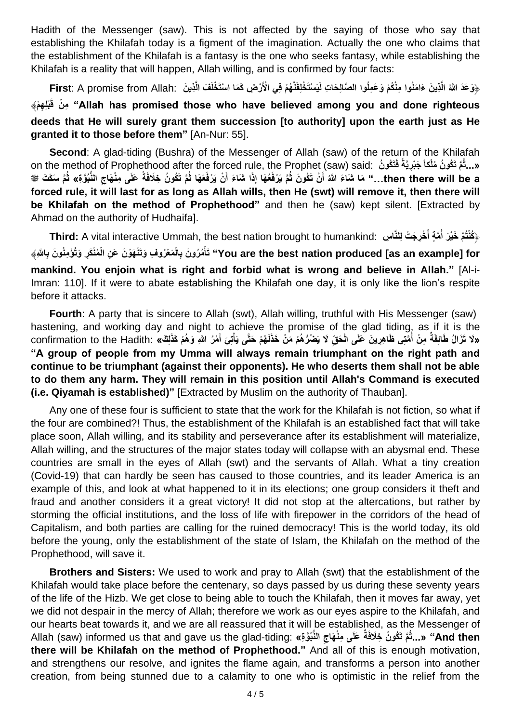Hadith of the Messenger (saw). This is not affected by the saying of those who say that establishing the Khilafah today is a figment of the imagination. Actually the one who claims that the establishment of the Khilafah is a fantasy is the one who seeks fantasy, while establishing the Khilafah is a reality that will happen, Allah willing, and is confirmed by four facts:

هِوَعَدَ اللّهُ الَّذِينَ ءَامَنُوا مِنْكُمْ وَعَمِلُوا الصَّالِحَاتِ لَيَسْتَخْلِفَنَّهُمْ فِي الْأَرْضِ كَمَا اسْتَخْلَفَ الَّذِينَ First: A promise from Allah: ﴿وَعَدَ اللّهَ الَّذِينَ **ِه ِم ْم ْن ْبِل َ** ﴾ **ق" Allah has promised those who have believed among you and done righteous deeds that He will surely grant them succession [to authority] upon the earth just as He granted it to those before them"** [An-Nur: 55].

**Second:** A glad-tiding (Bushra) of the Messenger of Allah (saw) of the return of the Khilafah on the method of Prophethood after the forced rule, the Prophet (saw) said: **نُ كوُ َت فَ َجْبِرياةً لكاً ام تَ ُكو ُن ُمْ »...ثُ** then there will be a..." مَا شَاءَ اللَّهُ أَنْ تَكُونَ ثُمَّ يَرْفَعُهَا إِذَا شَاءَ أَنْ يَرْفَعَهَا ثُمَّ تَكُونُ خِلَافَةً عَلَى مِنْهَاجِ النُّبُوَّةِ» ثُمَّ سَكَتَ ﷺ **َ َ forced rule, it will last for as long as Allah wills, then He (swt) will remove it, then there will be Khilafah on the method of Prophethood"** and then he (saw) kept silent. [Extracted by Ahmad on the authority of Hudhaifa].

**Third:** A vital interactive Ummah, the best nation brought to humankind: **سِ للنااِ تْ جَ رِخْ ُ ام ة أ ْم َخْي َر أ** ﴿ **ُكْنتُ ُ** You are the best nation produced [as an example] for'' تَأْمُرُونَ بِالْمَعْرُوفِ وَتَنْهَوْنَ عَنِ الْمُنْكَرِ وَتُؤْمِنُونَ بِاللَّهِ **mankind. You enjoin what is right and forbid what is wrong and believe in Allah."** [Al-i-Imran: 110]. If it were to abate establishing the Khilafah one day, it is only like the lion's respite before it attacks.

**Fourth**: A party that is sincere to Allah (swt), Allah willing, truthful with His Messenger (saw) hastening, and working day and night to achieve the promise of the glad tiding, as if it is the «لَا تَزَالُ طَائِفَةٌ مِنْ أُمَّتِي ظَاهِرِينَ عَلَى الْحَقِّ لَا يَصْرُّهُمْ مَنْ خَذَلَهُمْ حَتَّى يَأْتِيَ أَمْرُ اللَّهِ وَهُمْ كَذَلِكَ» :confirmation to the Hadith: «لَا تَزَالُ طَائِفَةٌ مِنْ أَهْرِ اللَّهِ وَهُمْ **َ ْ ُ "A group of people from my Umma will always remain triumphant on the right path and continue to be triumphant (against their opponents). He who deserts them shall not be able to do them any harm. They will remain in this position until Allah's Command is executed (i.e. Qiyamah is established)"** [Extracted by Muslim on the authority of Thauban].

Any one of these four is sufficient to state that the work for the Khilafah is not fiction, so what if the four are combined?! Thus, the establishment of the Khilafah is an established fact that will take place soon, Allah willing, and its stability and perseverance after its establishment will materialize, Allah willing, and the structures of the major states today will collapse with an abysmal end. These countries are small in the eyes of Allah (swt) and the servants of Allah. What a tiny creation (Covid-19) that can hardly be seen has caused to those countries, and its leader America is an example of this, and look at what happened to it in its elections; one group considers it theft and fraud and another considers it a great victory! It did not stop at the altercations, but rather by storming the official institutions, and the loss of life with firepower in the corridors of the head of Capitalism, and both parties are calling for the ruined democracy! This is the world today, its old before the young, only the establishment of the state of Islam, the Khilafah on the method of the Prophethood, will save it.

**Brothers and Sisters:** We used to work and pray to Allah (swt) that the establishment of the Khilafah would take place before the centenary, so days passed by us during these seventy years of the life of the Hizb. We get close to being able to touch the Khilafah, then it moves far away, yet we did not despair in the mercy of Allah; therefore we work as our eyes aspire to the Khilafah, and our hearts beat towards it, and we are all reassured that it will be established, as the Messenger of **Allah (saw) informed us that and gave us the glad-tiding**: «يَـتُمُّ تَكُونُ خِلَافَةٌ عَلَى مِنْهَاجِ النُّبُوَّةِ» **there will be Khilafah on the method of Prophethood."** And all of this is enough motivation, and strengthens our resolve, and ignites the flame again, and transforms a person into another creation, from being stunned due to a calamity to one who is optimistic in the relief from the